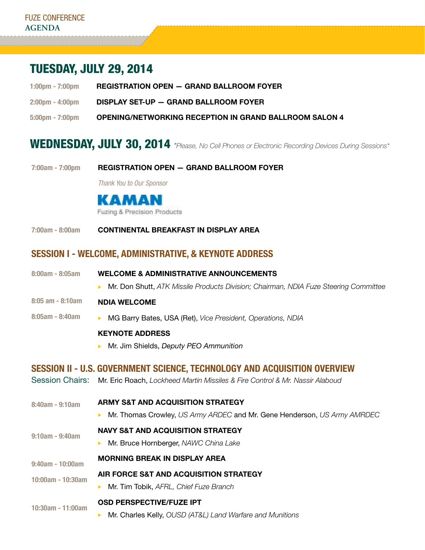# Tuesday, July 29, 2014

- 1:00pm 7:00pm REGISTRATION OPEN GRAND BALLROOM FOYER
- 2:00pm 4:00pm Display Set-Up Grand Ballroom Foyer
- 5:00pm 7:00pm OPENING/NETWORKING RECEPTION IN Grand Ballroom Salon 4

## WEDNESDAY, JULY 30, 2014 *\*Please, No Cell Phones or Electronic Recording Devices During Sessions*\*

7:00am - 7:00pm Registration Open — Grand ballroom foyer

*Thank You to Our Sponsor*



7:00am - 8:00am Continental Breakfast in display area

### Session I - welcome, administrative, & Keynote address

- 8:00am 8:05am Welcome & Administrative Announcements
	- ▶ Mr. Don Shutt, *ATK Missile Products Division; Chairman, NDIA Fuze Steering Committee*
- 8:05 am 8:10am NDIA Welcome
- 8:05am 8:40am ▶ MG Barry Bates, USA (Ret), *Vice President, Operations, NDIA*

#### Keynote address

▶ Mr. Jim Shields, *Deputy PEO Ammunition* 

## Session II - U.S. Government Science, Technology and Acquisition Overview

- Session Chairs: Mr. Eric Roach, *Lockheed Martin Missiles & Fire Control & Mr. Nassir Alaboud*
- 8:40am 9:10am 9:10am - 9:40am 9:40am - 10:00am 10:00am - 10:30am 10:30am - 11:00am aRmy S&T and Acquisition Strategy ► Mr. Thomas Crowley, *US Army ARDEC* and Mr. Gene Henderson, *US Army AMRDEC* NAVY S&T and Acquisition Strategy **Mr. Bruce Hornberger, NAWC China Lake** Morning Break in display area Air Force S&T and Acquisition Strategy ▶ Mr. Tim Tobik, *AFRL, Chief Fuze Branch* Osd perspective/fuze ipt
	- **Mr. Charles Kelly,** *OUSD (AT&L) Land Warfare and Munitions*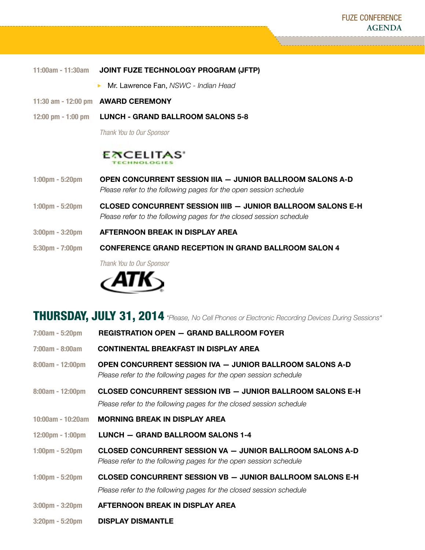| 11:00am - 11:30am | JOINT FUZE TECHNOLOGY PROGRAM (JFTP)  |
|-------------------|---------------------------------------|
|                   | Mr. Lawrence Fan, NSWC - Indian Head  |
|                   | 11:30 am - 12:00 pm    AWARD CEREMONY |

12:00 pm - 1:00 pm LUNCH - GRAND BALLROOM SALONS 5-8

 *Thank You to Our Sponsor*



- 1:00pm 5:20pm Open concurrent session IIIA Junior ballroom Salons A-D  *Please refer to the following pages for the open session schedule*
- 1:00pm 5:20pm CLosed concurrent session IIIB Junior ballroom Salons E-H  *Please refer to the following pages for the closed session schedule*
- 3:00pm 3:20pm Afternoon Break in display area
- 5:30pm 7:00pm Conference Grand reception in Grand Ballroom Salon 4

 *Thank You to Our Sponsor*



## Thursday, July 31, 2014 *\*Please, No Cell Phones or Electronic Recording Devices During Sessions\**

| 7:00am - 5:20pm                    | <b>REGISTRATION OPEN - GRAND BALLROOM FOYER</b>                                                                                          |
|------------------------------------|------------------------------------------------------------------------------------------------------------------------------------------|
| $7:00am - 8:00am$                  | <b>CONTINENTAL BREAKFAST IN DISPLAY AREA</b>                                                                                             |
| 8:00am - 12:00pm                   | OPEN CONCURRENT SESSION IVA - JUNIOR BALLROOM SALONS A-D<br>Please refer to the following pages for the open session schedule            |
| 8:00am - 12:00pm                   | <b>CLOSED CONCURRENT SESSION IVB - JUNIOR BALLROOM SALONS E-H</b><br>Please refer to the following pages for the closed session schedule |
| $10:00am - 10:20am$                | <b>MORNING BREAK IN DISPLAY AREA</b>                                                                                                     |
| $12:00 \text{pm} - 1:00 \text{pm}$ | LUNCH - GRAND BALLROOM SALONS 1-4                                                                                                        |
| $1:00 \text{pm} - 5:20 \text{pm}$  | <b>CLOSED CONCURRENT SESSION VA - JUNIOR BALLROOM SALONS A-D</b><br>Please refer to the following pages for the open session schedule    |
| $1:00 \text{pm} - 5:20 \text{pm}$  | <b>CLOSED CONCURRENT SESSION VB - JUNIOR BALLROOM SALONS E-H</b>                                                                         |
|                                    | Please refer to the following pages for the closed session schedule                                                                      |
| $3:00 \text{pm} - 3:20 \text{pm}$  | AFTERNOON BREAK IN DISPLAY AREA                                                                                                          |
|                                    |                                                                                                                                          |

3:20pm - 5:20pm Display Dismantle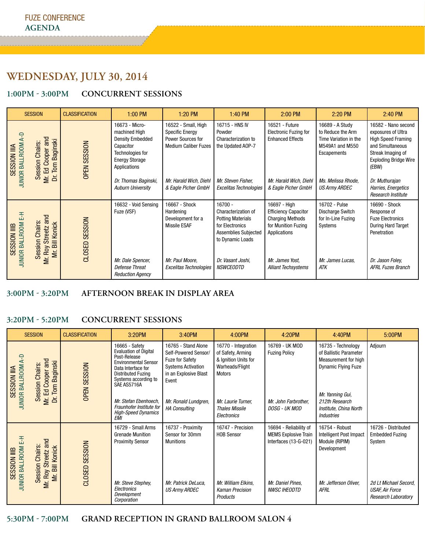## **Wednesday, July 30, 2014**

### **1:00pm - 3:00pm Concurrent Sessions**

| <b>SESSION</b>                                                              |                                        | <b>CLASSIFICATION</b> | $1:00$ PM                                                                                                                                                                                | 1:20 PM                                                                                                                                            | $1:40$ PM                                                                                                                                                                 | 2:00 PM                                                                                                                                                        | 2:20 PM                                                                                                                                       | 2:40 PM                                                                                                                                                                                                                 |
|-----------------------------------------------------------------------------|----------------------------------------|-----------------------|------------------------------------------------------------------------------------------------------------------------------------------------------------------------------------------|----------------------------------------------------------------------------------------------------------------------------------------------------|---------------------------------------------------------------------------------------------------------------------------------------------------------------------------|----------------------------------------------------------------------------------------------------------------------------------------------------------------|-----------------------------------------------------------------------------------------------------------------------------------------------|-------------------------------------------------------------------------------------------------------------------------------------------------------------------------------------------------------------------------|
| SESSION IIIA<br>JUNIOR BALLROOM A-D<br>Mr. Ed Cooper and<br>Session Chairs: | <b>Baginski</b><br>Tom<br>ă            | <b>OPEN SESSION</b>   | 16673 - Micro-<br>machined High<br><b>Density Embedded</b><br>Capacitor<br>Technologies for<br><b>Energy Storage</b><br>Applications<br>Dr. Thomas Baginski,<br><b>Auburn University</b> | 16522 - Small, High<br><b>Specific Energy</b><br>Power Sources for<br><b>Medium Caliber Fuzes</b><br>Mr. Harald Wich, Diehl<br>& Eagle Picher GmbH | 16715 - HNS IV<br>Powder<br>Characterization to<br>the Updated AOP-7<br>Mr. Steven Fisher,<br><b>Excelitas Technologies</b>                                               | 16521 - Future<br><b>Electronic Fuzing for</b><br><b>Enhanced Effects</b><br>Mr. Harald Wich, Diehl<br>& Eagle Picher GmbH                                     | 16689 - A Study<br>to Reduce the Arm<br>Time Variation in the<br>M549A1 and M550<br>Escapements<br>Ms. Melissa Rhode,<br><b>US Army ARDEC</b> | 16582 - Nano second<br>exposures of Ultra<br><b>High Speed Framing</b><br>and Simultaneous<br>Streak Imaging of<br><b>Exploding Bridge Wire</b><br>(EBW)<br>Dr. Muthurajan<br>Harries, Energetics<br>Research Institute |
| JUNIOR BALLROOM E-H<br>Session Chairs<br>SESSION IIIB                       | Mr. Roy Streetz and<br>Mr. Bill Konick | CLOSED SESSION        | 16632 - Void Sensing<br>Fuze (VSF)<br>Mr. Dale Spencer,<br>Defense Threat<br><b>Reduction Agency</b>                                                                                     | 16667 - Shock<br>Hardening<br>Development for a<br>Missile ESAF<br>Mr. Paul Moore,<br><b>Excelitas Technologies</b>                                | 16700 -<br>Characterization of<br><b>Potting Materials</b><br>for Electronics<br><b>Assemblies Subjected</b><br>to Dynamic Loads<br>Dr. Vasant Joshi,<br><b>NSWCEODTD</b> | 16697 - High<br><b>Efficiency Capacitor</b><br><b>Charging Methods</b><br>for Munition Fuzing<br>Applications<br>Mr. James Yost,<br><b>Alliant Techsystems</b> | 16702 - Pulse<br>Discharge Switch<br>for In-Line Fuzing<br>Systems<br>Mr. James Lucas,<br>ATK                                                 | 16690 - Shock<br>Response of<br><b>Fuze Electronics</b><br><b>During Hard Target</b><br>Penetration<br>Dr. Jason Foley,<br><b>AFRL Fuzes Branch</b>                                                                     |

### **3:00pm - 3:20PM afternoon break in display area**

### **3:20Pm - 5:20PM concurrent sessions**

| <b>SESSION</b>                                                                                                 |                                                                                 | <b>CLASSIFICATION</b>                                                                                                                                                                   | 3:20PM                                                                                                                               | 3:40PM                                                                                        | 4:00PM                                                     | 4:20PM                                                                                                                 | 4:40PM                                                                     | 5:00PM                                                  |
|----------------------------------------------------------------------------------------------------------------|---------------------------------------------------------------------------------|-----------------------------------------------------------------------------------------------------------------------------------------------------------------------------------------|--------------------------------------------------------------------------------------------------------------------------------------|-----------------------------------------------------------------------------------------------|------------------------------------------------------------|------------------------------------------------------------------------------------------------------------------------|----------------------------------------------------------------------------|---------------------------------------------------------|
| <b>JUNIOR BALLROOM A-D</b><br>Mr. Ed Cooper and<br>Tom Baginski<br>Session Chairs:<br><b>SESSION IIIA</b><br>ă | <b>OPEN SESSION</b>                                                             | 16665 - Safety<br><b>Evaluation of Digital</b><br>Post-Release<br><b>Environmental Sensor</b><br>Data Interface for<br><b>Distributed Fuzing</b><br>Systems according to<br>SAE AS5716A | 16765 - Stand Alone<br>Self-Powered Sensor/<br><b>Fuze for Safety</b><br><b>Systems Activation</b><br>in an Explosive Blast<br>Event | 16770 - Integration<br>of Safety, Arming<br>& Ignition Units for<br>Warheads/Flight<br>Motors | 16769 - UK MOD<br><b>Fuzing Policy</b>                     | 16735 - Technology<br>of Ballistic Parameter<br>Measurement for high<br><b>Dynamic Flying Fuze</b><br>Mr. Yanning Gui, | Adjourn                                                                    |                                                         |
|                                                                                                                |                                                                                 |                                                                                                                                                                                         | Mr. Stefan Ebenhoech,<br>Fraunhofer Institute for<br><b>High-Speed Dynamics</b><br><b>EMI</b>                                        | Mr. Ronald Lundgren,<br><b>HA Consulting</b>                                                  | Mr. Laurie Turner,<br><b>Thales Missile</b><br>Electronics | Mr. John Farbrother,<br>DOSG - UK MOD                                                                                  | 212th Research<br>Institute, China North<br><b>Industries</b>              |                                                         |
| <b>JUNIOR BALLROOM E-H</b><br>SESSION IIIB                                                                     | Mr. Roy Streetz and<br><b>Session Chairs:</b><br><b>Bill Konick</b><br>$\equiv$ | CLOSED SESSION                                                                                                                                                                          | 16729 - Small Arms<br><b>Grenade Munition</b><br><b>Proximity Sensor</b>                                                             | 16737 - Proximity<br>Sensor for 30mm<br><b>Munitions</b>                                      | 16747 - Precision<br><b>HOB Sensor</b>                     | 16694 - Reliability of<br><b>MEMS Explosive Train</b><br>Interfaces (13-G-021)                                         | 16754 - Robust<br>Intelligent Post Impact<br>Module (RIPIM)<br>Development | 16726 - Distributed<br><b>Embedded Fuzing</b><br>System |
|                                                                                                                |                                                                                 | Mr. Steve Stephey,<br>Electronics<br>Development<br>Corporation                                                                                                                         | Mr. Patrick DeLuca,<br><b>US Army ARDEC</b>                                                                                          | Mr. William Elkins.<br><b>Kaman Precision</b><br><b>Products</b>                              | Mr. Daniel Pines,<br><b>NWSC IHEODTD</b>                   | Mr. Jefferson Oliver,<br><b>AFRL</b>                                                                                   | 2d Lt Michael Secord,<br><b>USAF, Air Force</b><br>Research Laboratory     |                                                         |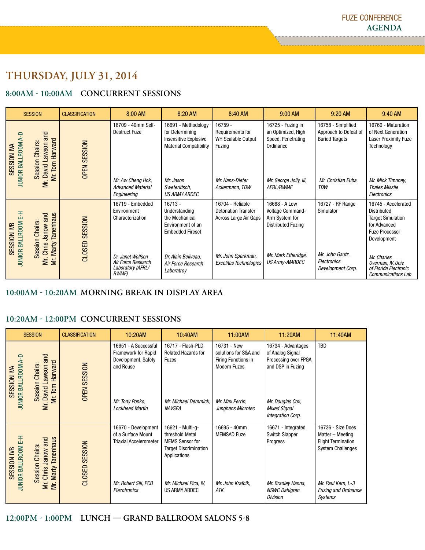## **Thursday, July 31, 2014**

### **8:00am - 10:00am Concurrent Sessions**

| <b>SESSION</b>                                                                                           | <b>CLASSIFICATION</b>                                            | 8:00 AM                                                                                                                      | 8:20 AM                                                                                                                                                       | 8:40 AM                                                                                                                        | 9:00 AM                                                                                                                          | 9:20 AM                                                                                                   | 9:40 AM                                                                                                                                                                                                                  |
|----------------------------------------------------------------------------------------------------------|------------------------------------------------------------------|------------------------------------------------------------------------------------------------------------------------------|---------------------------------------------------------------------------------------------------------------------------------------------------------------|--------------------------------------------------------------------------------------------------------------------------------|----------------------------------------------------------------------------------------------------------------------------------|-----------------------------------------------------------------------------------------------------------|--------------------------------------------------------------------------------------------------------------------------------------------------------------------------------------------------------------------------|
| and<br>JUNIOR BALLROOM A-D<br><b>Session Chairs</b><br>awson<br>SESSION IVA<br>David L<br>ΣË.            | Harward<br><b>OPEN SESSION</b><br>$\boxed{\overline{nm}}$<br>ΣÍ. | 16709 - 40mm Self-<br><b>Destruct Fuze</b><br>Mr. Aw Cheng Hok,<br><b>Advanced Material</b><br>Engineering                   | 16691 - Methodology<br>for Determining<br><b>Insensitive Explosive</b><br><b>Material Compatibility</b><br>Mr. Jason<br>Sweterlitsch,<br><b>US ARMY ARDEC</b> | 16759 -<br>Requirements for<br><b>WH Scalable Output</b><br>Fuzing<br>Mr. Hans-Dieter<br>Ackermann, TDW                        | 16725 - Fuzing in<br>an Optimized, High<br>Speed, Penetrating<br>Ordinance<br>Mr. George Jolly, III,<br><b>AFRL/RWMF</b>         | 16758 - Simplified<br>Approach to Defeat of<br><b>Buried Targets</b><br>Mr. Christian Euba,<br><b>TDW</b> | 16760 - Maturation<br>of Next Generation<br><b>Laser Proximity Fuze</b><br>Technology<br>Mr. Mick Timoney,<br><b>Thales Missile</b><br>Electronics                                                                       |
| <b>JUNIOR BALLROOM E-H</b><br>and<br>Chairs:<br><b>SESSION IVB</b><br>Janow ;<br>Session<br>Chris<br>ΣÉ. | <b>Tanenhaus</b><br><b>SESSION</b><br>CLOSED<br>Marty            | 16719 - Embedded<br>Environment<br>Characterization<br>Dr. Janet Wolfson<br>Air Force Research<br>Laboratory (AFRL/<br>RWMF) | $16713 -$<br>Understanding<br>the Mechanical<br>Environment of an<br><b>Embedded Fireset</b><br>Dr. Alain Beliveau,<br>Air Force Research<br>Laboratroy       | 16704 - Reliable<br><b>Detonation Transfer</b><br>Across Large Air Gaps<br>Mr. John Sparkman,<br><b>Excelitas Technologies</b> | 16688 - A Low<br>Voltage Command-<br>Arm System for<br><b>Distributed Fuzing</b><br>Mr. Mark Etheridge,<br><b>US Army-AMRDEC</b> | 16727 - RF Range<br>Simulator<br>Mr. John Gautz,<br>Electronics<br>Development Corp.                      | 16745 - Accelerated<br><b>Distributed</b><br><b>Target Simulation</b><br>for Advanced<br><b>Fuze Processor</b><br>Development<br>Mr. Charles<br>Overman, IV, Univ.<br>of Florida Electronic<br><b>Communications Lab</b> |

### **10:00am - 10:20AM Morning break in display area**

### **10:20Am - 12:00PM concurrent sessions**

| <b>SESSION</b>                                                                                                             | <b>CLASSIFICATION</b> | 10:20AM                                                                                                                             | 10:40AM                                                                                                                                                        | 11:00AM                                                                                                                    | 11:20AM                                                                                                                                             | 11:40AM                                                                                                                                                       |
|----------------------------------------------------------------------------------------------------------------------------|-----------------------|-------------------------------------------------------------------------------------------------------------------------------------|----------------------------------------------------------------------------------------------------------------------------------------------------------------|----------------------------------------------------------------------------------------------------------------------------|-----------------------------------------------------------------------------------------------------------------------------------------------------|---------------------------------------------------------------------------------------------------------------------------------------------------------------|
| Mr. David Lawson and<br><b>JUNIOR BALLROOM A-D</b><br>Harward<br>Session Chairs:<br>SESSION IVA<br>Tom<br>$\overline{\Xi}$ | <b>OPEN SESSION</b>   | 16651 - A Successful<br><b>Framework for Rapid</b><br>Development, Safety<br>and Reuse<br>Mr. Tony Ponko,<br><b>Lockheed Martin</b> | 16717 - Flash-PLD<br>Related Hazards for<br>Fuzes<br>Mr. Michael Demmick.<br><b>NAVSEA</b>                                                                     | 16731 - New<br>solutions for S&A and<br>Firing Functions in<br><b>Modern Fuzes</b><br>Mr. Max Perrin,<br>Junghans Microtec | 16734 - Advantages<br>of Analog Signal<br>Processing over FPGA<br>and DSP in Fuzing<br>Mr. Douglas Cox,<br><b>Mixed Signal</b><br>Integration Corp. | TBD                                                                                                                                                           |
| JUNIOR BALLROOM E-H<br>Tanenhaus<br>Chris Janow and<br>Session Chairs:<br>SESSION IVB<br>Marty<br>ΣÉ.<br>δŕ.               | CLOSED SESSION        | 16670 - Development<br>of a Surface Mount<br><b>Triaxial Accelerometer</b><br>Mr. Robert Sill, PCB<br>Piezotronics                  | 16621 - Multi-g-<br>threshold Metal<br><b>MEMS Sensor for</b><br><b>Target Discrimination</b><br>Applications<br>Mr. Michael Pica, IV,<br><b>US ARMY ARDEC</b> | 16695 - 40mm<br><b>MEMSAD Fuze</b><br>Mr. John Krafcik,<br>ATK                                                             | 16671 - Integrated<br><b>Switch Slapper</b><br>Progress<br>Mr. Bradley Hanna,<br><b>NSWC Dahlgren</b><br><b>Division</b>                            | 16736 - Size Does<br>Matter - Meeting<br><b>Flight Termination</b><br><b>System Challenges</b><br>Mr. Paul Kern, L-3<br><b>Fuzing and Ordnance</b><br>Systems |